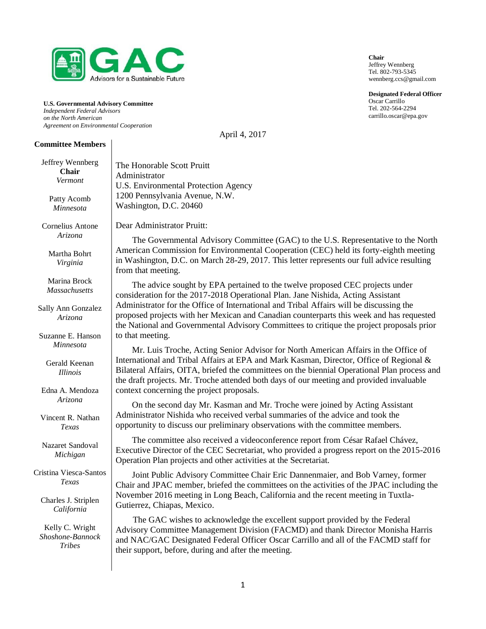

**U.S. Governmental Advisory Committee** *Independent Federal Advisors on the North American Agreement on Environmental Cooperation*

**Committee Members** 

#### Jeffrey Wennberg **Chair** *Vermont* Patty Acomb *Minnesota* Cornelius Antone *Arizona* Martha Bohrt *Virginia* Marina Brock *Massachusetts* Sally Ann Gonzalez *Arizona* Suzanne E. Hanson *Minnesota* Gerald Keenan *Illinois* Edna A. Mendoza *Arizona* Vincent R. Nathan *Texas* Nazaret Sandoval *Michigan* Cristina Viesca-Santos *Texas* Charles J. Striplen *California* Kelly C. Wright *Shoshone-Bannock Tribes* The Honorable Scott Pruitt Administrator U.S. Environmental Protection Agency 1200 Pennsylvania Avenue, N.W. Washington, D.C. 20460 Dear Administrator Pruitt: The Governmental Advisory Committee (GAC) to the U.S. Representative to the North American Commission for Environmental Cooperation (CEC) held its forty-eighth meeting in Washington, D.C. on March 28-29, 2017. This letter represents our full advice resulting from that meeting. The advice sought by EPA pertained to the twelve proposed CEC projects under consideration for the 2017-2018 Operational Plan. Jane Nishida, Acting Assistant Administrator for the Office of International and Tribal Affairs will be discussing the proposed projects with her Mexican and Canadian counterparts this week and has requested the National and Governmental Advisory Committees to critique the project proposals prior to that meeting. Mr. Luis Troche, Acting Senior Advisor for North American Affairs in the Office of International and Tribal Affairs at EPA and Mark Kasman, Director, Office of Regional & Bilateral Affairs, OITA, briefed the committees on the biennial Operational Plan process and the draft projects. Mr. Troche attended both days of our meeting and provided invaluable context concerning the project proposals. On the second day Mr. Kasman and Mr. Troche were joined by Acting Assistant Administrator Nishida who received verbal summaries of the advice and took the opportunity to discuss our preliminary observations with the committee members. The committee also received a videoconference report from César Rafael Chávez, Executive Director of the CEC Secretariat, who provided a progress report on the 2015-2016 Operation Plan projects and other activities at the Secretariat. Joint Public Advisory Committee Chair Eric Dannenmaier, and Bob Varney, former Chair and JPAC member, briefed the committees on the activities of the JPAC including the November 2016 meeting in Long Beach, California and the recent meeting in Tuxtla-Gutierrez, Chiapas, Mexico. The GAC wishes to acknowledge the excellent support provided by the Federal Advisory Committee Management Division (FACMD) and thank Director Monisha Harris and NAC/GAC Designated Federal Officer Oscar Carrillo and all of the FACMD staff for their support, before, during and after the meeting.

April 4, 2017

**Chair** Jeffrey Wennberg Tel. 802-793-5345 wennberg.ccs@gmail.com

**Designated Federal Officer** Oscar Carrillo Tel. 202-564-2294 carrillo.oscar@epa.gov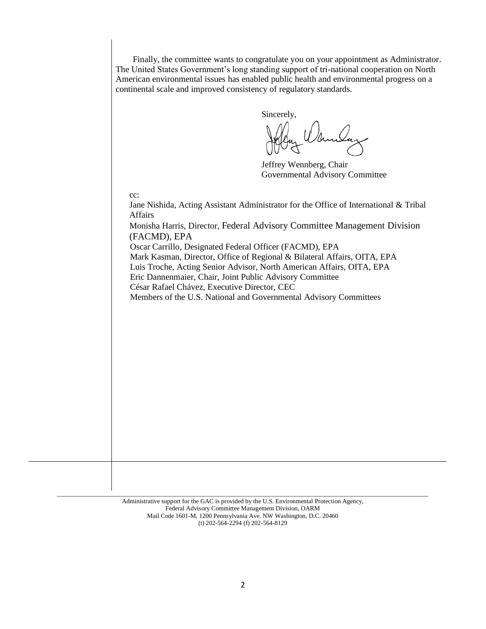Finally, the committee wants to congratulate you on your appointment as Administrator. The United States Government's long standing support of tri-national cooperation on North American environmental issues has enabled public health and environmental progress on a continental scale and improved consistency of regulatory standards.

Sincerely,

Jeffrey Wennberg, Chair Governmental Advisory Committee

cc:

Jane Nishida, Acting Assistant Administrator for the Office of International & Tribal Affairs

Monisha Harris, Director, Federal Advisory Committee Management Division (FACMD), EPA

Oscar Carrillo, Designated Federal Officer (FACMD), EPA Mark Kasman, Director, Office of Regional & Bilateral Affairs, OITA, EPA Luis Troche, Acting Senior Advisor, North American Affairs, OITA, EPA Eric Dannenmaier, Chair, Joint Public Advisory Committee César Rafael Chávez, Executive Director, CEC Members of the U.S. National and Governmental Advisory Committees

Administrative support for the GAC is provided by the U.S. Environmental Protection Agency, Federal Advisory Committee Management Division, OARM Mail Code 1601-M, 1200 Pennsylvania Ave. NW Washington, D.C. 20460 (t) 202-564-2294 (f) 202-564-8129

\_\_\_\_\_\_\_\_\_\_\_\_\_\_\_\_\_\_\_\_\_\_\_\_\_\_\_\_\_\_\_\_\_\_\_\_\_\_\_\_\_\_\_\_\_\_\_\_\_\_\_\_\_\_\_\_\_\_\_\_\_\_\_\_\_\_\_\_\_\_\_\_\_\_\_\_\_\_\_\_\_\_\_\_\_\_\_\_\_\_\_\_\_\_\_\_\_\_\_\_\_\_\_\_\_\_\_\_\_\_\_\_\_\_\_\_\_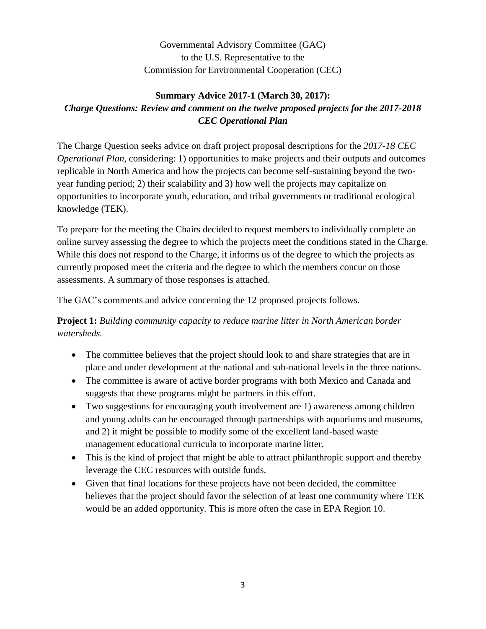Governmental Advisory Committee (GAC) to the U.S. Representative to the Commission for Environmental Cooperation (CEC)

## **Summary Advice 2017-1 (March 30, 2017):** *Charge Questions: Review and comment on the twelve proposed projects for the 2017-2018 CEC Operational Plan*

The Charge Question seeks advice on draft project proposal descriptions for the *2017-18 CEC Operational Plan, considering: 1) opportunities to make projects and their outputs and outcomes* replicable in North America and how the projects can become self-sustaining beyond the twoyear funding period; 2) their scalability and 3) how well the projects may capitalize on opportunities to incorporate youth, education, and tribal governments or traditional ecological knowledge (TEK).

To prepare for the meeting the Chairs decided to request members to individually complete an online survey assessing the degree to which the projects meet the conditions stated in the Charge. While this does not respond to the Charge, it informs us of the degree to which the projects as currently proposed meet the criteria and the degree to which the members concur on those assessments. A summary of those responses is attached.

The GAC's comments and advice concerning the 12 proposed projects follows.

**Project 1:** *Building community capacity to reduce marine litter in North American border watersheds.* 

- The committee believes that the project should look to and share strategies that are in place and under development at the national and sub-national levels in the three nations.
- The committee is aware of active border programs with both Mexico and Canada and suggests that these programs might be partners in this effort.
- Two suggestions for encouraging youth involvement are 1) awareness among children and young adults can be encouraged through partnerships with aquariums and museums, and 2) it might be possible to modify some of the excellent land-based waste management educational curricula to incorporate marine litter.
- This is the kind of project that might be able to attract philanthropic support and thereby leverage the CEC resources with outside funds.
- Given that final locations for these projects have not been decided, the committee believes that the project should favor the selection of at least one community where TEK would be an added opportunity. This is more often the case in EPA Region 10.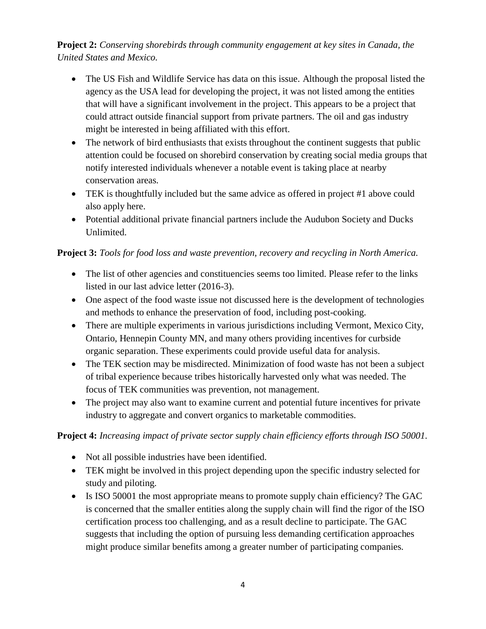**Project 2:** *Conserving shorebirds through community engagement at key sites in Canada, the United States and Mexico.*

- The US Fish and Wildlife Service has data on this issue. Although the proposal listed the agency as the USA lead for developing the project, it was not listed among the entities that will have a significant involvement in the project. This appears to be a project that could attract outside financial support from private partners. The oil and gas industry might be interested in being affiliated with this effort.
- The network of bird enthusiasts that exists throughout the continent suggests that public attention could be focused on shorebird conservation by creating social media groups that notify interested individuals whenever a notable event is taking place at nearby conservation areas.
- TEK is thoughtfully included but the same advice as offered in project #1 above could also apply here.
- Potential additional private financial partners include the Audubon Society and Ducks Unlimited.

### **Project 3:** *Tools for food loss and waste prevention, recovery and recycling in North America.*

- The list of other agencies and constituencies seems too limited. Please refer to the links listed in our last advice letter (2016-3).
- One aspect of the food waste issue not discussed here is the development of technologies and methods to enhance the preservation of food, including post-cooking.
- There are multiple experiments in various jurisdictions including Vermont, Mexico City, Ontario, Hennepin County MN, and many others providing incentives for curbside organic separation. These experiments could provide useful data for analysis.
- The TEK section may be misdirected. Minimization of food waste has not been a subject of tribal experience because tribes historically harvested only what was needed. The focus of TEK communities was prevention, not management.
- The project may also want to examine current and potential future incentives for private industry to aggregate and convert organics to marketable commodities.

### **Project 4:** *Increasing impact of private sector supply chain efficiency efforts through ISO 50001.*

- Not all possible industries have been identified.
- TEK might be involved in this project depending upon the specific industry selected for study and piloting.
- Is ISO 50001 the most appropriate means to promote supply chain efficiency? The GAC is concerned that the smaller entities along the supply chain will find the rigor of the ISO certification process too challenging, and as a result decline to participate. The GAC suggests that including the option of pursuing less demanding certification approaches might produce similar benefits among a greater number of participating companies.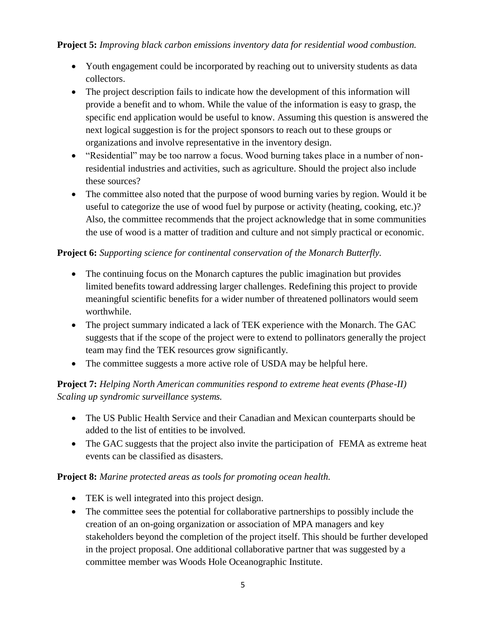**Project 5:** *Improving black carbon emissions inventory data for residential wood combustion.*

- Youth engagement could be incorporated by reaching out to university students as data collectors.
- The project description fails to indicate how the development of this information will provide a benefit and to whom. While the value of the information is easy to grasp, the specific end application would be useful to know. Assuming this question is answered the next logical suggestion is for the project sponsors to reach out to these groups or organizations and involve representative in the inventory design.
- "Residential" may be too narrow a focus. Wood burning takes place in a number of nonresidential industries and activities, such as agriculture. Should the project also include these sources?
- The committee also noted that the purpose of wood burning varies by region. Would it be useful to categorize the use of wood fuel by purpose or activity (heating, cooking, etc.)? Also, the committee recommends that the project acknowledge that in some communities the use of wood is a matter of tradition and culture and not simply practical or economic.

### **Project 6:** *Supporting science for continental conservation of the Monarch Butterfly.*

- The continuing focus on the Monarch captures the public imagination but provides limited benefits toward addressing larger challenges. Redefining this project to provide meaningful scientific benefits for a wider number of threatened pollinators would seem worthwhile.
- The project summary indicated a lack of TEK experience with the Monarch. The GAC suggests that if the scope of the project were to extend to pollinators generally the project team may find the TEK resources grow significantly.
- The committee suggests a more active role of USDA may be helpful here.

### **Project 7:** *Helping North American communities respond to extreme heat events (Phase-II) Scaling up syndromic surveillance systems.*

- The US Public Health Service and their Canadian and Mexican counterparts should be added to the list of entities to be involved.
- The GAC suggests that the project also invite the participation of FEMA as extreme heat events can be classified as disasters.

### **Project 8:** *Marine protected areas as tools for promoting ocean health.*

- TEK is well integrated into this project design.
- The committee sees the potential for collaborative partnerships to possibly include the creation of an on-going organization or association of MPA managers and key stakeholders beyond the completion of the project itself. This should be further developed in the project proposal. One additional collaborative partner that was suggested by a committee member was Woods Hole Oceanographic Institute.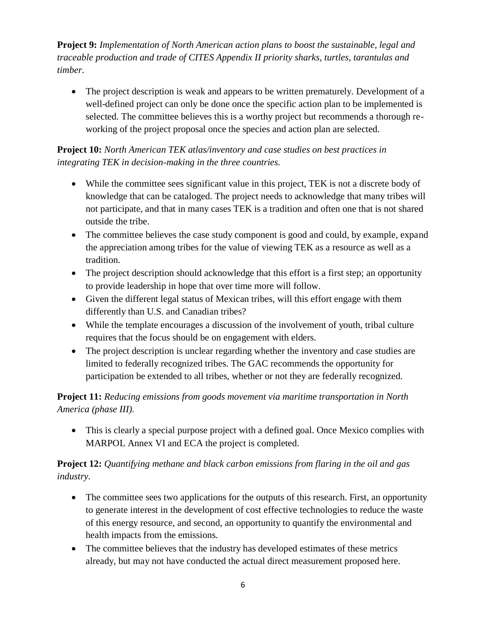**Project 9:** *Implementation of North American action plans to boost the sustainable, legal and traceable production and trade of CITES Appendix II priority sharks, turtles, tarantulas and timber.*

• The project description is weak and appears to be written prematurely. Development of a well-defined project can only be done once the specific action plan to be implemented is selected. The committee believes this is a worthy project but recommends a thorough reworking of the project proposal once the species and action plan are selected.

## **Project 10:** *North American TEK atlas/inventory and case studies on best practices in integrating TEK in decision-making in the three countries.*

- While the committee sees significant value in this project, TEK is not a discrete body of knowledge that can be cataloged. The project needs to acknowledge that many tribes will not participate, and that in many cases TEK is a tradition and often one that is not shared outside the tribe.
- The committee believes the case study component is good and could, by example, expand the appreciation among tribes for the value of viewing TEK as a resource as well as a tradition.
- The project description should acknowledge that this effort is a first step; an opportunity to provide leadership in hope that over time more will follow.
- Given the different legal status of Mexican tribes, will this effort engage with them differently than U.S. and Canadian tribes?
- While the template encourages a discussion of the involvement of youth, tribal culture requires that the focus should be on engagement with elders.
- The project description is unclear regarding whether the inventory and case studies are limited to federally recognized tribes. The GAC recommends the opportunity for participation be extended to all tribes, whether or not they are federally recognized.

## **Project 11:** *Reducing emissions from goods movement via maritime transportation in North America (phase III).*

• This is clearly a special purpose project with a defined goal. Once Mexico complies with MARPOL Annex VI and ECA the project is completed.

# **Project 12:** *Quantifying methane and black carbon emissions from flaring in the oil and gas industry.*

- The committee sees two applications for the outputs of this research. First, an opportunity to generate interest in the development of cost effective technologies to reduce the waste of this energy resource, and second, an opportunity to quantify the environmental and health impacts from the emissions.
- The committee believes that the industry has developed estimates of these metrics already, but may not have conducted the actual direct measurement proposed here.